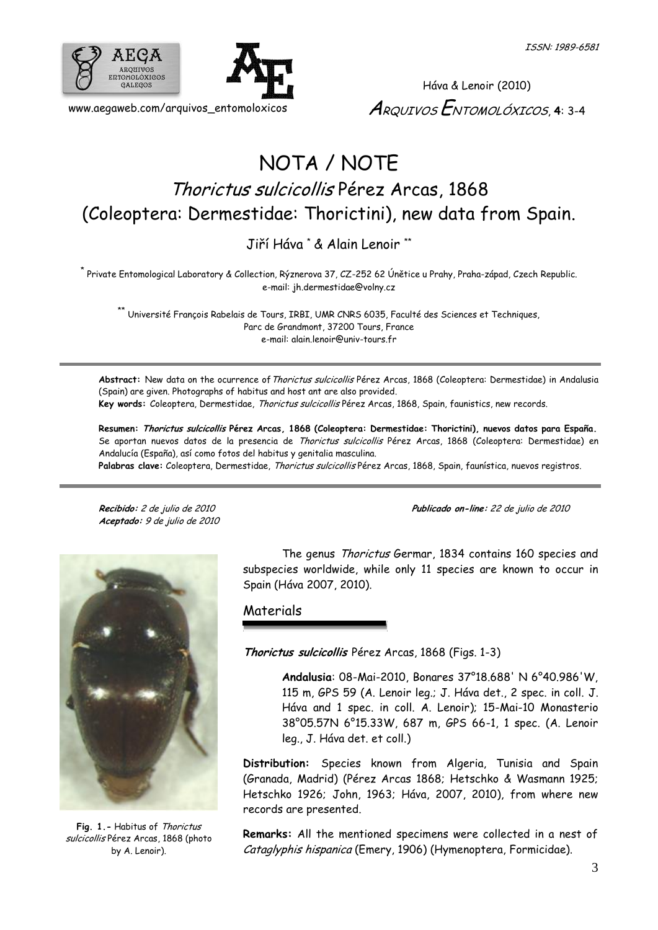



Háva & Lenoir (2010) ARQUIVOS ENTOMOLÓXICOS, **4**: 3-4

## NOTA / NOTE Thorictus sulcicollis Pérez Arcas, 1868 (Coleoptera: Dermestidae: Thorictini), new data from Spain.

Jiří Háva \* & Alain Lenoir \*\*

\* Private Entomological Laboratory & Collection, Rýznerova 37, CZ-252 62 Únětice u Prahy, Praha-západ, Czech Republic. e-mail: [jh.dermestidae@volny.cz](mailto:jh.dermestidae@volny.cz)

\*\* Université François Rabelais de Tours, IRBI, UMR CNRS 6035, Faculté des Sciences et Techniques, Parc de Grandmont, 37200 Tours, France e-mail: [alain.lenoir@univ-tours.fr](mailto:alain.lenoir@univ-tours.fr)

Abstract: New data on the ocurrence of Thorictus sulcicollis Pérez Arcas, 1868 (Coleoptera: Dermestidae) in Andalusia (Spain) are given. Photographs of habitus and host ant are also provided. **Key words:** Coleoptera, Dermestidae, Thorictus sulcicollis Pérez Arcas, 1868, Spain, faunistics, new records.

**Resumen: Thorictus sulcicollis Pérez Arcas, 1868 (Coleoptera: Dermestidae: Thorictini), nuevos datos para España.** Se aportan nuevos datos de la presencia de Thorictus sulcicollis Pérez Arcas, 1868 (Coleoptera: Dermestidae) en Andalucía (España), así como fotos del habitus y genitalia masculina. **Palabras clave:** Coleoptera, Dermestidae, Thorictus sulcicollis Pérez Arcas, 1868, Spain, faunística, nuevos registros.

**Aceptado:** 9 de julio de 2010

**Recibido:** <sup>2</sup> de julio de 2010 **Publicado on-line:** <sup>22</sup> de julio de 2010



**Fig. 1.-** Habitus of Thorictus sulcicollis Pérez Arcas, 1868 (photo by A. Lenoir).

The genus Thorictus Germar, 1834 contains 160 species and subspecies worldwide, while only 11 species are known to occur in Spain (Háva 2007, 2010).

Materials

**Thorictus sulcicollis** Pérez Arcas, 1868 (Figs. 1-3)

**Andalusia**: 08-Mai-2010, Bonares 37°18.688' N 6°40.986'W, 115 m, GPS 59 (A. Lenoir leg.; J. Háva det., 2 spec. in coll. J. Háva and 1 spec. in coll. A. Lenoir); 15-Mai-10 Monasterio 38°05.57N 6°15.33W, 687 m, GPS 66-1, 1 spec. (A. Lenoir leg., J. Háva det. et coll.)

**Distribution:** Species known from Algeria, Tunisia and Spain (Granada, Madrid) (Pérez Arcas 1868; Hetschko & Wasmann 1925; Hetschko 1926; John, 1963; Háva, 2007, 2010), from where new records are presented.

**Remarks:** All the mentioned specimens were collected in a nest of Cataglyphis hispanica (Emery, 1906) (Hymenoptera, Formicidae).